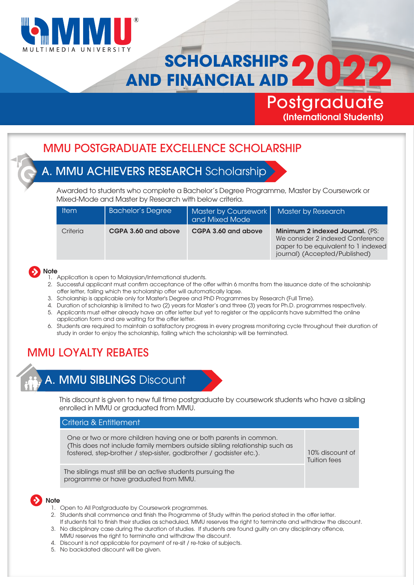

# **SCHOLARSHIPS AND FINANCIAL AID 4**

## (International Students) **Postgraduate**

### MMU POSTGRADUATE EXCELLENCE SCHOLARSHIP

### A. MMU ACHIEVERS RESEARCH Scholarship

Awarded to students who complete a Bachelor's Degree Programme, Master by Coursework or Mixed-Mode and Master by Research with below criteria.

| <b>Item</b> | <b>Bachelor's Degree</b> | Master by Coursework<br>and Mixed Mode | <b>Master by Research</b>                                                                                                                          |
|-------------|--------------------------|----------------------------------------|----------------------------------------------------------------------------------------------------------------------------------------------------|
| Criteria    | CGPA 3.60 and above      | CGPA 3.60 and above                    | <b>Minimum 2 indexed Journal. (PS:</b><br>We consider 2 indexed Conference<br>paper to be equivalent to 1 indexed<br>journal) (Accepted/Published) |



- 1. Application is open to Malaysian/International students.
- 2. Successful applicant must confirm acceptance of the offer within 6 months from the issuance date of the scholarship offer letter, failing which the scholarship offer will automatically lapse.
- 3. Scholarship is applicable only for Master's Degree and PhD Programmes by Research (Full Time).
- 4. Duration of scholarship is limited to two (2) years for Master's and three (3) years for Ph.D. programmes respectively.
- 5. Applicants must either already have an offer letter but yet to register or the applicants have submitted the online application form and are waiting for the offer letter.
- 6. Students are required to maintain a satisfactory progress in every progress monitoring cycle throughout their duration of study in order to enjoy the scholarship, failing which the scholarship will be terminated.

### MMU LOYALTY REBATES



# A. MMU SIBLINGS Discount

This discount is given to new full time postgraduate by coursework students who have a sibling enrolled in MMU or graduated from MMU.

#### Criteria & Entitlement

Criteria & Entitlement One or two or more children having one or both parents in common. (This does not include family members outside sibling relationship such as fostered, step-brother / step-sister, godbrother / godsister etc.).

10% discount of Tuition fees

The siblings must still be an active students pursuing the programme or have graduated from MMU.

#### **Note**

- 1. Open to All Postgraduate by Coursework programmes.
- 2. Students shall commence and finish the Programme of Study within the period stated in the offer letter.
- If students fail to nish their studies as scheduled, MMU reserves the right to terminate and withdraw the discount. 3. No disciplinary case during the duration of studies. If students are found guilty on any disciplinary offence, MMU reserves the right to terminate and withdraw the discount.
- 4. Discount is not applicable for payment of re-sit / re-take of subjects.
- 5. No backdated discount will be given.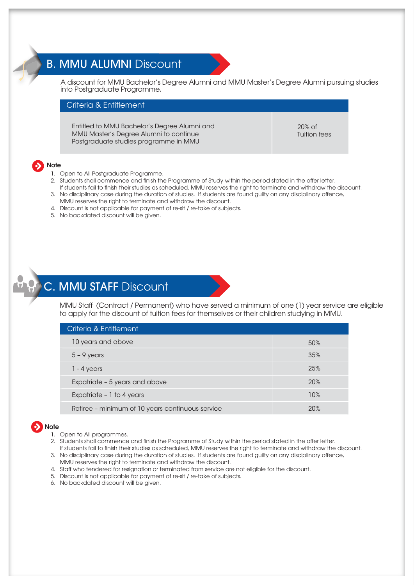### B. MMU ALUMNI Discount



A discount for MMU Bachelor's Degree Alumni and MMU Master's Degree Alumni pursuing studies into Postgraduate Programme.

#### Criteria & Entitlement Criteria & Entitlement

Entitled to MMU Bachelor's Degree Alumni and MMU Master's Degree Alumni to continue Postgraduate studies programme in MMU

20% of Tuition fees

### Note

- 1. Open to All Postgraduate Programme.
- 2. Students shall commence and finish the Programme of Study within the period stated in the offer letter. If students fail to nish their studies as scheduled, MMU reserves the right to terminate and withdraw the discount.
- 3. No disciplinary case during the duration of studies. If students are found guilty on any disciplinary offence, MMU reserves the right to terminate and withdraw the discount.
- 4. Discount is not applicable for payment of re-sit / re-take of subjects.
- 5. No backdated discount will be given.

### C. MMU STAFF Discount

MMU Staff (Contract / Permanent) who have served a minimum of one (1) year service are eligible to apply for the discount of tuition fees for themselves or their children studying in MMU.

| Criteria & Entitlement                           |            |
|--------------------------------------------------|------------|
| 10 years and above                               | 50%        |
| $5 - 9$ years                                    | 35%        |
| $1 - 4$ years                                    | 25%        |
| Expatriate - 5 years and above                   | <b>20%</b> |
| Expatriate $-1$ to 4 years                       | 10%        |
| Retiree – minimum of 10 years continuous service | 20%        |

#### Note

- 1. Open to All programmes.
- 2. Students shall commence and finish the Programme of Study within the period stated in the offer letter. If students fail to finish their studies as scheduled, MMU reserves the right to terminate and withdraw the discount.
- 3. No disciplinary case during the duration of studies. If students are found guilty on any disciplinary offence, MMU reserves the right to terminate and withdraw the discount.
- 4. Staff who tendered for resignation or terminated from service are not eligible for the discount.
- 5. Discount is not applicable for payment of re-sit / re-take of subjects.
- 6. No backdated discount will be given.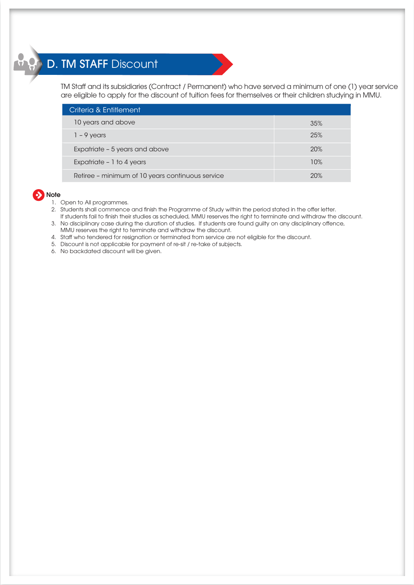# D. TM STAFF Discount

TM Staff and its subsidiaries (Contract / Permanent) who have served a minimum of one (1) year service are eligible to apply for the discount of tuition fees for themselves or their children studying in MMU.

| Criteria & Entitlement                           |     |  |  |  |
|--------------------------------------------------|-----|--|--|--|
| 10 years and above                               | 35% |  |  |  |
| $1 - 9$ years                                    | 25% |  |  |  |
| Expatriate - 5 years and above                   | 20% |  |  |  |
| Expatriate - 1 to 4 years                        | 10% |  |  |  |
| Retiree - minimum of 10 years continuous service | 20% |  |  |  |

### **b** Note

- 1. Open to All programmes.
- 2. Students shall commence and finish the Programme of Study within the period stated in the offer letter. If students fail to nish their studies as scheduled, MMU reserves the right to terminate and withdraw the discount.
- 3. No disciplinary case during the duration of studies. If students are found guilty on any disciplinary offence, MMU reserves the right to terminate and withdraw the discount.
- 4. Staff who tendered for resignation or terminated from service are not eligible for the discount.
- 5. Discount is not applicable for payment of re-sit / re-take of subjects.
- 6. No backdated discount will be given.